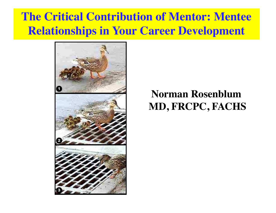### **The Critical Contribution of Mentor: Mentee Relationships in Your Career Development**



#### **Norman Rosenblum MD, FRCPC, FACHS**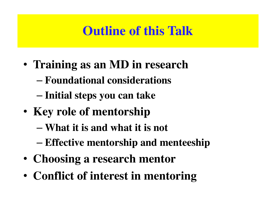## **Outline of this Talk**

- **Training as an MD in research**
	- **Foundational considerations**
	- **Initial steps you can take**
- **Key role of mentorship**
	- **What it is and what it is not**
	- **Effective mentorship and menteeship**
- **Choosing a research mentor**
- **Conflict of interest in mentoring**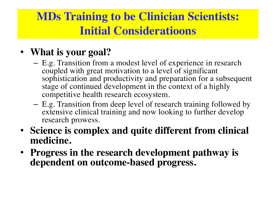### **MDs Training to be Clinician Scientists: Initial Consideratioons**

#### • **What is your goal?**

- E.g. Transition from a modest level of experience in research coupled with great motivation to a level of significant sophistication and productivity and preparation for a subsequent stage of continued development in the context of a highly competitive health research ecosystem.
- E.g. Transition from deep level of research training followed by extensive clinical training and now looking to further develop research prowess.
- **Science is complex and quite different from clinical medicine.**
- **Progress in the research development pathway is dependent on outcome-based progress.**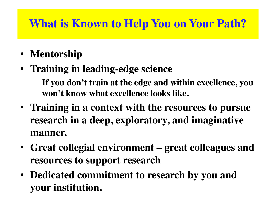### **What is Known to Help You on Your Path?**

- **Mentorship**
- **Training in leading-edge science**
	- **If you don't train at the edge and within excellence, you won't know what excellence looks like.**
- **Training in a context with the resources to pursue research in a deep, exploratory, and imaginative manner.**
- **Great collegial environment – great colleagues and resources to support research**
- **Dedicated commitment to research by you and your institution.**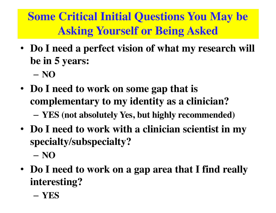**Some Critical Initial Questions You May be Asking Yourself or Being Asked**

- **Do I need a perfect vision of what my research will be in 5 years:**
	- **NO**
- **Do I need to work on some gap that is complementary to my identity as a clinician?**
	- **YES (not absolutely Yes, but highly recommended)**
- **Do I need to work with a clinician scientist in my specialty/subspecialty?**
	- **NO**
- **Do I need to work on a gap area that I find really interesting?**
	- **YES**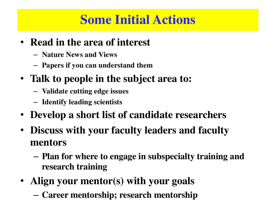## **Some Initial Actions**

- **Read in the area of interest**
	- **Nature News and Views**
	- **Papers if you can understand them**
- **Talk to people in the subject area to:**
	- **Validate cutting edge issues**
	- **Identify leading scientists**
- **Develop a short list of candidate researchers**
- **Discuss with your faculty leaders and faculty mentors**
	- **Plan for where to engage in subspecialty training and research training**
- **Align your mentor(s) with your goals**
	- **Career mentorship; research mentorship**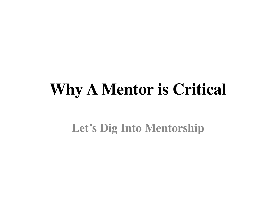# **Why A Mentor is Critical**

**Let's Dig Into Mentorship**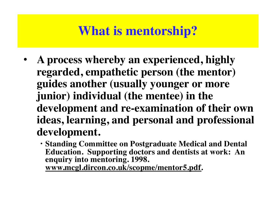## **What is mentorship?**

- **A process whereby an experienced, highly regarded, empathetic person (the mentor) guides another (usually younger or more junior) individual (the mentee) in the development and re-examination of their own ideas, learning, and personal and professional development.** 
	- **Standing Committee on Postgraduate Medical and Dental Education. Supporting doctors and dentists at work: An enquiry into mentoring. 1998. [www.mcgl.dircon.co.uk/scopme/mentor5.pd](http://www.mcgl.dircon.co.uk/scopme/mentor5.pdf)f.**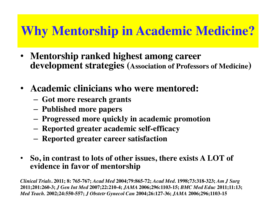## **Why Mentorship in Academic Medicine?**

- **Mentorship ranked highest among career development strategies (Association of Professors of Medicine)**
- **Academic clinicians who were mentored:**
	- **Got more research grants**
	- **Published more papers**
	- **Progressed more quickly in academic promotion**
	- **Reported greater academic self-efficacy**
	- **Reported greater career satisfaction**
- **So, in contrast to lots of other issues, there exists A LOT of evidence in favor of mentorship**

*Clinical Trials***. 2011; 8: 765-767;** *Acad Med* **2004;79:865-72;** *Acad Med.* **1998;73:318-323;** *Am J Surg*  **2011;201:260-3;** *J Gen Int Med* **2007;22:210-4;** *JAMA* **2006;296:1103-15;** *BMC Med Educ* **2011;11:13;**  *Med Teach.* **2002;24:550-557;** *J Obstetr Gynecol Can* **2004;26:127-36;** *JAMA* **2006;296;1103-15**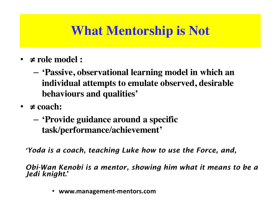## **What Mentorship is Not**

- **≠ role model :** 
	- **'Passive, observational learning model in which an individual attempts to emulate observed, desirable behaviours and qualities'**
- $\bullet \neq$  coach:
	- **'Provide guidance around a specific task/performance/achievement'**

*'Yoda is a coach, teaching Luke how to use the Force, and,*

*Obi-Wan Kenobi is a mentor, showing him what it means to be a Jedi knight*.'

• **www.management-mentors.com**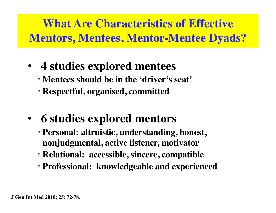## **What Are Characteristics of Effective Mentors, Mentees, Mentor-Mentee Dyads?**

- **4 studies explored mentees** ◦ **Mentees should be in the 'driver's seat'**
	- **Respectful, organised, committed**
- **6 studies explored mentors**
	- **Personal: altruistic, understanding, honest, nonjudgmental, active listener, motivator**
	- **Relational: accessible, sincere, compatible**
	- **Professional: knowledgeable and experienced**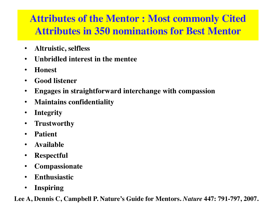#### **Attributes of the Mentor : Most commonly Cited Attributes in 350 nominations for Best Mentor**

- **Altruistic, selfless**
- **Unbridled interest in the mentee**
- **Honest**
- **Good listener**
- **Engages in straightforward interchange with compassion**
- **Maintains confidentiality**
- **Integrity**
- **Trustworthy**
- **Patient**
- **Available**
- **Respectful**
- **Compassionate**
- **Enthusiastic**
- **Inspiring**

**Lee A, Dennis C, Campbell P. Nature's Guide for Mentors.** *Nature* **447: 791-797, 2007.**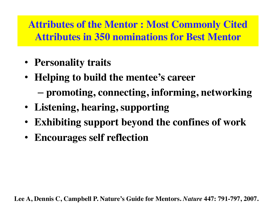**Attributes of the Mentor : Most Commonly Cited Attributes in 350 nominations for Best Mentor**

- **Personality traits**
- **Helping to build the mentee's career**  – **promoting, connecting, informing, networking**
- **Listening, hearing, supporting**
- **Exhibiting support beyond the confines of work**
- **Encourages self reflection**

**Lee A, Dennis C, Campbell P. Nature's Guide for Mentors.** *Nature* **447: 791-797, 2007.**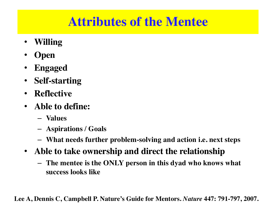## **Attributes of the Mentee**

- **Willing**
- **Open**
- **Engaged**
- **Self-starting**
- **Reflective**
- **Able to define:**
	- **Values**
	- **Aspirations / Goals**
	- **What needs further problem-solving and action i.e. next steps**
- **Able to take ownership and direct the relationship**
	- **The mentee is the ONLY person in this dyad who knows what success looks like**

**Lee A, Dennis C, Campbell P. Nature's Guide for Mentors.** *Nature* **447: 791-797, 2007.**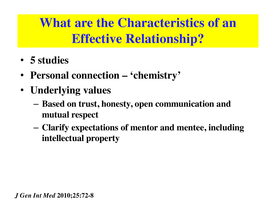## **What are the Characteristics of an Effective Relationship?**

- **5 studies**
- **Personal connection – 'chemistry'**
- **Underlying values**
	- **Based on trust, honesty, open communication and mutual respect**
	- **Clarify expectations of mentor and mentee, including intellectual property**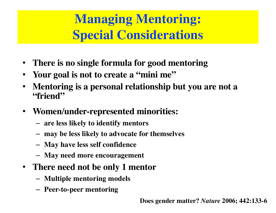## **Managing Mentoring: Special Considerations**

- **There is no single formula for good mentoring**
- **Your goal is not to create a "mini me"**
- **Mentoring is a personal relationship but you are not a "friend"**
- **Women/under-represented minorities:**
	- **are less likely to identify mentors**
	- **may be less likely to advocate for themselves**
	- **May have less self confidence**
	- **May need more encouragement**
- **There need not be only 1 mentor**
	- **Multiple mentoring models**
	- **Peer-to-peer mentoring**

**Does gender matter?** *Nature* **2006; 442:133-6**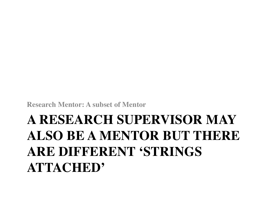**Research Mentor: A subset of Mentor**

## **A RESEARCH SUPERVISOR MAY ALSO BE A MENTOR BUT THERE ARE DIFFERENT 'STRINGS ATTACHED'**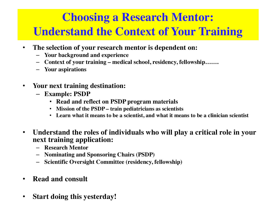### **Choosing a Research Mentor: Understand the Context of Your Training**

- **The selection of your research mentor is dependent on:**
	- **Your background and experience**
	- **Context of your training – medical school, residency, fellowship…….**
	- **Your aspirations**
- **Your next training destination:** 
	- **Example: PSDP** 
		- **Read and reflect on PSDP program materials**
		- **Mission of the PSDP – train pediatricians as scientists**
		- **Learn what it means to be a scientist, and what it means to be a clinician scientist**
- **Understand the roles of individuals who will play a critical role in your next training application:**
	- **Research Mentor**
	- **Nominating and Sponsoring Chairs (PSDP)**
	- **Scientific Oversight Committee (residency, fellowship)**
- **Read and consult**
- **Start doing this yesterday!**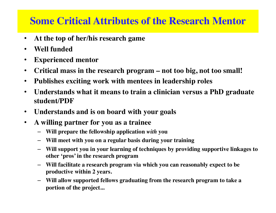#### **Some Critical Attributes of the Research Mentor**

- **At the top of her/his research game**
- **Well funded**
- **Experienced mentor**
- **Critical mass in the research program – not too big, not too small!**
- **Publishes exciting work with mentees in leadership roles**
- **Understands what it means to train a clinician versus a PhD graduate student/PDF**
- **Understands and is on board with your goals**
- **A willing partner for you as a trainee**
	- **Will prepare the fellowship application** *with* **you**
	- **Will meet with you on a regular basis during your training**
	- **Will support you in your learning of techniques by providing supportive linkages to other 'pros' in the research program**
	- **Will facilitate a research program via which you can reasonably expect to be productive within 2 years.**
	- **Will allow supported fellows graduating from the research program to take a portion of the project...**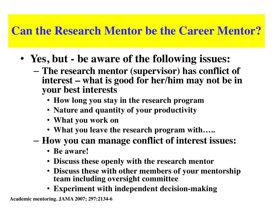#### **Can the Research Mentor be the Career Mentor?**

- **Yes, but - be aware of the following issues:**
	- **The research mentor (supervisor) has conflict of interest – what is good for her/him may not be in your best interests**
		- **How long you stay in the research program**
		- **Nature and quantity of your productivity**
		- **What you work on**
		- **What you leave the research program with…..**
	- **How you can manage conflict of interest issues:**
		- **Be aware!**
		- **Discuss these openly with the research mentor**
		- **Discuss these with other members of your mentorship team including oversight committee**
		- **Experiment with independent decision-making**

**Academic mentoring. JAMA 2007; 297:2134-6**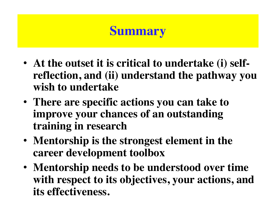## **Summary**

- **At the outset it is critical to undertake (i) selfreflection, and (ii) understand the pathway you wish to undertake**
- **There are specific actions you can take to improve your chances of an outstanding training in research**
- **Mentorship is the strongest element in the career development toolbox**
- **Mentorship needs to be understood over time with respect to its objectives, your actions, and its effectiveness.**